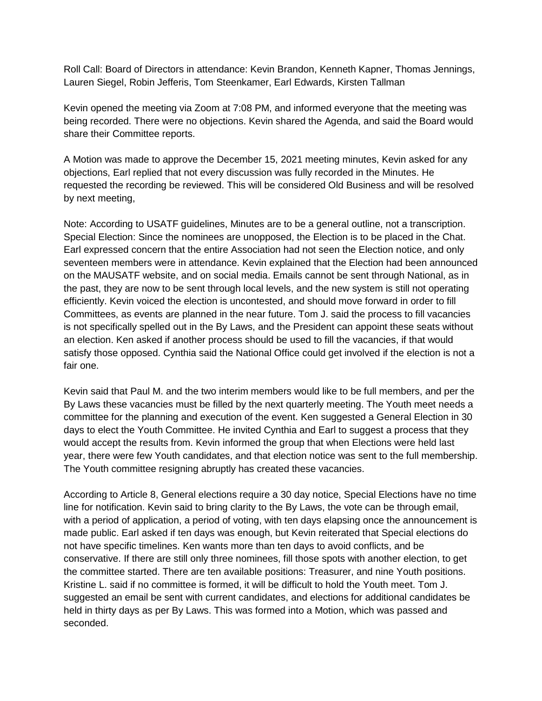Roll Call: Board of Directors in attendance: Kevin Brandon, Kenneth Kapner, Thomas Jennings, Lauren Siegel, Robin Jefferis, Tom Steenkamer, Earl Edwards, Kirsten Tallman

Kevin opened the meeting via Zoom at 7:08 PM, and informed everyone that the meeting was being recorded. There were no objections. Kevin shared the Agenda, and said the Board would share their Committee reports.

A Motion was made to approve the December 15, 2021 meeting minutes, Kevin asked for any objections, Earl replied that not every discussion was fully recorded in the Minutes. He requested the recording be reviewed. This will be considered Old Business and will be resolved by next meeting,

Note: According to USATF guidelines, Minutes are to be a general outline, not a transcription. Special Election: Since the nominees are unopposed, the Election is to be placed in the Chat. Earl expressed concern that the entire Association had not seen the Election notice, and only seventeen members were in attendance. Kevin explained that the Election had been announced on the MAUSATF website, and on social media. Emails cannot be sent through National, as in the past, they are now to be sent through local levels, and the new system is still not operating efficiently. Kevin voiced the election is uncontested, and should move forward in order to fill Committees, as events are planned in the near future. Tom J. said the process to fill vacancies is not specifically spelled out in the By Laws, and the President can appoint these seats without an election. Ken asked if another process should be used to fill the vacancies, if that would satisfy those opposed. Cynthia said the National Office could get involved if the election is not a fair one.

Kevin said that Paul M. and the two interim members would like to be full members, and per the By Laws these vacancies must be filled by the next quarterly meeting. The Youth meet needs a committee for the planning and execution of the event. Ken suggested a General Election in 30 days to elect the Youth Committee. He invited Cynthia and Earl to suggest a process that they would accept the results from. Kevin informed the group that when Elections were held last year, there were few Youth candidates, and that election notice was sent to the full membership. The Youth committee resigning abruptly has created these vacancies.

According to Article 8, General elections require a 30 day notice, Special Elections have no time line for notification. Kevin said to bring clarity to the By Laws, the vote can be through email, with a period of application, a period of voting, with ten days elapsing once the announcement is made public. Earl asked if ten days was enough, but Kevin reiterated that Special elections do not have specific timelines. Ken wants more than ten days to avoid conflicts, and be conservative. If there are still only three nominees, fill those spots with another election, to get the committee started. There are ten available positions: Treasurer, and nine Youth positions. Kristine L. said if no committee is formed, it will be difficult to hold the Youth meet. Tom J. suggested an email be sent with current candidates, and elections for additional candidates be held in thirty days as per By Laws. This was formed into a Motion, which was passed and seconded.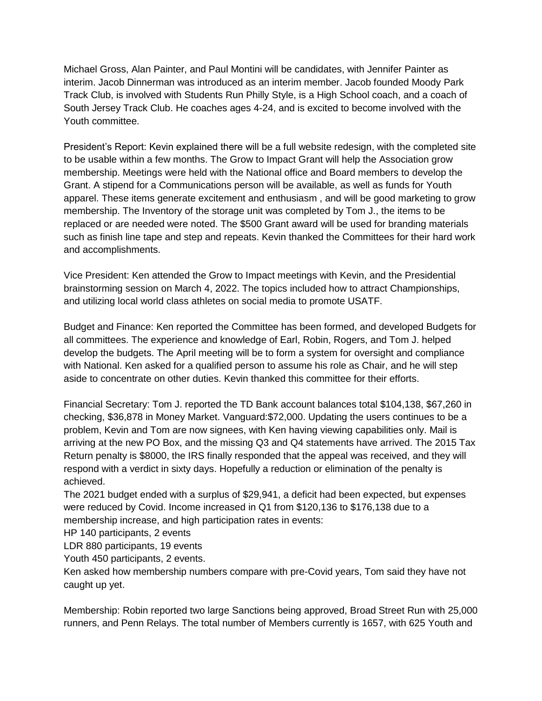Michael Gross, Alan Painter, and Paul Montini will be candidates, with Jennifer Painter as interim. Jacob Dinnerman was introduced as an interim member. Jacob founded Moody Park Track Club, is involved with Students Run Philly Style, is a High School coach, and a coach of South Jersey Track Club. He coaches ages 4-24, and is excited to become involved with the Youth committee.

President's Report: Kevin explained there will be a full website redesign, with the completed site to be usable within a few months. The Grow to Impact Grant will help the Association grow membership. Meetings were held with the National office and Board members to develop the Grant. A stipend for a Communications person will be available, as well as funds for Youth apparel. These items generate excitement and enthusiasm , and will be good marketing to grow membership. The Inventory of the storage unit was completed by Tom J., the items to be replaced or are needed were noted. The \$500 Grant award will be used for branding materials such as finish line tape and step and repeats. Kevin thanked the Committees for their hard work and accomplishments.

Vice President: Ken attended the Grow to Impact meetings with Kevin, and the Presidential brainstorming session on March 4, 2022. The topics included how to attract Championships, and utilizing local world class athletes on social media to promote USATF.

Budget and Finance: Ken reported the Committee has been formed, and developed Budgets for all committees. The experience and knowledge of Earl, Robin, Rogers, and Tom J. helped develop the budgets. The April meeting will be to form a system for oversight and compliance with National. Ken asked for a qualified person to assume his role as Chair, and he will step aside to concentrate on other duties. Kevin thanked this committee for their efforts.

Financial Secretary: Tom J. reported the TD Bank account balances total \$104,138, \$67,260 in checking, \$36,878 in Money Market. Vanguard:\$72,000. Updating the users continues to be a problem, Kevin and Tom are now signees, with Ken having viewing capabilities only. Mail is arriving at the new PO Box, and the missing Q3 and Q4 statements have arrived. The 2015 Tax Return penalty is \$8000, the IRS finally responded that the appeal was received, and they will respond with a verdict in sixty days. Hopefully a reduction or elimination of the penalty is achieved.

The 2021 budget ended with a surplus of \$29,941, a deficit had been expected, but expenses were reduced by Covid. Income increased in Q1 from \$120,136 to \$176,138 due to a membership increase, and high participation rates in events:

HP 140 participants, 2 events

LDR 880 participants, 19 events

Youth 450 participants, 2 events.

Ken asked how membership numbers compare with pre-Covid years, Tom said they have not caught up yet.

Membership: Robin reported two large Sanctions being approved, Broad Street Run with 25,000 runners, and Penn Relays. The total number of Members currently is 1657, with 625 Youth and